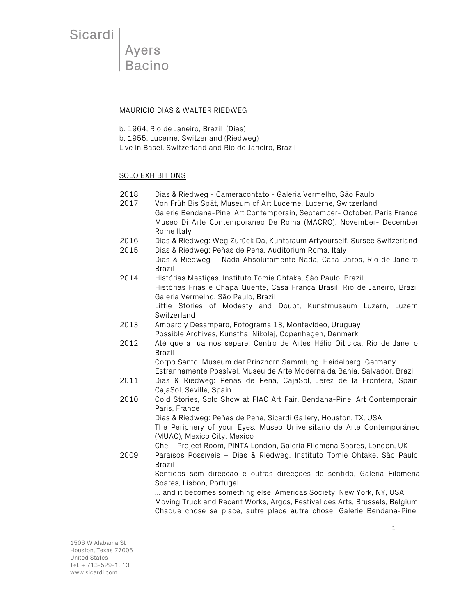Ayers **Bacino** 

### MAURICIO DIAS & WALTER RIEDWEG

b. 1964, Rio de Janeiro, Brazil (Dias)

b. 1955, Lucerne, Switzerland (Riedweg)

Live in Basel, Switzerland and Rio de Janeiro, Brazil

### SOLO EXHIBITIONS

- 2018 Dias & Riedweg Cameracontato Galeria Vermelho, São Paulo
- 2017 Von Früh Bis Spät, Museum of Art Lucerne, Lucerne, Switzerland Galerie Bendana-Pinel Art Contemporain, September- October, Paris France Museo Di Arte Contemporaneo De Roma (MACRO), November- December, Rome Italy
- 2016 Dias & Riedweg: Weg Zurück Da, Kuntsraum Artyourself, Sursee Switzerland
- 2015 Dias & Riedweg: Peñas de Pena, Auditorium Roma, Italy
- Dias & Riedweg Nada Absolutamente Nada, Casa Daros, Rio de Janeiro, Brazil
- 2014 Histórias Mestiças, Instituto Tomie Ohtake, São Paulo, Brazil Histórias Frias e Chapa Quente, Casa França Brasil, Rio de Janeiro, Brazil; Galeria Vermelho, São Paulo, Brazil Little Stories of Modesty and Doubt, Kunstmuseum Luzern, Luzern, Switzerland
- 2013 Amparo y Desamparo, Fotograma 13, Montevideo, Uruguay Possible Archives, Kunsthal Nikolaj, Copenhagen, Denmark
- 2012 Até que a rua nos separe, Centro de Artes Hélio Oiticica, Rio de Janeiro, Brazil

Corpo Santo, Museum der Prinzhorn Sammlung, Heidelberg, Germany Estranhamente Possível, Museu de Arte Moderna da Bahia, Salvador, Brazil

- 2011 Dias & Riedweg: Peñas de Pena, CajaSol, Jerez de la Frontera, Spain; CajaSol, Seville, Spain
- 2010 Cold Stories, Solo Show at FIAC Art Fair, Bendana-Pinel Art Contemporain, Paris, France

Dias & Riedweg: Peñas de Pena, Sicardi Gallery, Houston, TX, USA The Periphery of your Eyes, Museo Universitario de Arte Contemporáneo (MUAC), Mexico City, Mexico

Che – Project Room, PINTA London, Galería Filomena Soares, London, UK

2009 Paraísos Possíveis – Dias & Riedweg, Instituto Tomie Ohtake, São Paulo, Brazil

> Sentidos sem direccão e outras direcções de sentido, Galeria Filomena Soares, Lisbon, Portugal

> … and it becomes something else, Americas Society, New York, NY, USA Moving Truck and Recent Works, Argos, Festival des Arts, Brussels, Belgium Chaque chose sa place, autre place autre chose, Galerie Bendana-Pinel,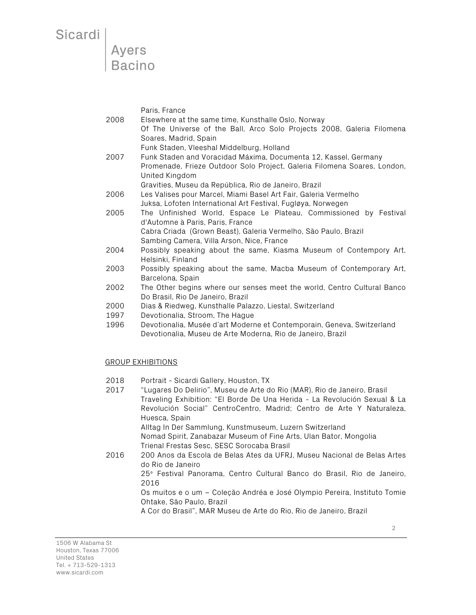Sicardi |

Ayers<br>Bacino

Paris, France

| 2008 | Elsewhere at the same time, Kunsthalle Oslo, Norway                                        |
|------|--------------------------------------------------------------------------------------------|
|      | Of The Universe of the Ball, Arco Solo Projects 2008, Galeria Filomena                     |
|      | Soares, Madrid, Spain                                                                      |
|      | Funk Staden, Vleeshal Middelburg, Holland                                                  |
| 2007 | Funk Staden and Voracidad Máxima, Documenta 12, Kassel, Germany                            |
|      | Promenade, Frieze Outdoor Solo Project, Galeria Filomena Soares, London,<br>United Kingdom |
|      | Gravities, Museu da República, Rio de Janeiro, Brazil                                      |
| 2006 | Les Valises pour Marcel, Miami Basel Art Fair, Galeria Vermelho                            |
|      | Juksa, Lofoten International Art Festival, Fugløya, Norwegen                               |
| 2005 | The Unfinished World, Espace Le Plateau, Commissioned by Festival                          |
|      | d'Automne à Paris, Paris, France                                                           |
|      | Cabra Criada (Grown Beast), Galeria Vermelho, São Paulo, Brazil                            |
|      | Sambing Camera, Villa Arson, Nice, France                                                  |
| 2004 | Possibly speaking about the same, Kiasma Museum of Contempory Art,                         |
|      | Helsinki, Finland                                                                          |
| 2003 | Possibly speaking about the same, Macba Museum of Contemporary Art,                        |
|      | Barcelona, Spain                                                                           |
| 2002 | The Other begins where our senses meet the world, Centro Cultural Banco                    |
|      | Do Brasil, Rio De Janeiro, Brazil                                                          |

- 2000 Dias & Riedweg, Kunsthalle Palazzo, Liestal, Switzerland
- 1997 Devotionalia, Stroom, The Hague
- 1996 Devotionalia, Musée d'art Moderne et Contemporain, Geneva, Switzerland Devotionalia, Museu de Arte Moderna, Rio de Janeiro, Brazil

## GROUP EXHIBITIONS

- 2018 Portrait Sicardi Gallery, Houston, TX
- 2017 "Lugares Do Delirio", Museu de Arte do Rio (MAR), Rio de Janeiro, Brasil Traveling Exhibition: "El Borde De Una Herida - La Revolución Sexual & La Revolución Social" CentroCentro, Madrid; Centro de Arte Y Naturaleza, Huesca, Spain Alltag In Der Sammlung, Kunstmuseum, Luzern Switzerland Nomad Spirit, Zanabazar Museum of Fine Arts, Ulan Bator, Mongolia Trienal Frestas Sesc, SESC Sorocaba Brasil 2016 200 Anos da Escola de Belas Ates da UFRJ, Museu Nacional de Belas Artes do Rio de Janeiro 25º Festival Panorama, Centro Cultural Banco do Brasil, Rio de Janeiro, 2016 Os muitos e o um – Coleção Andréa e José Olympio Pereira, Instituto Tomie

Ohtake, São Paulo, Brazil

A Cor do Brasil", MAR Museu de Arte do Rio, Rio de Janeiro, Brazil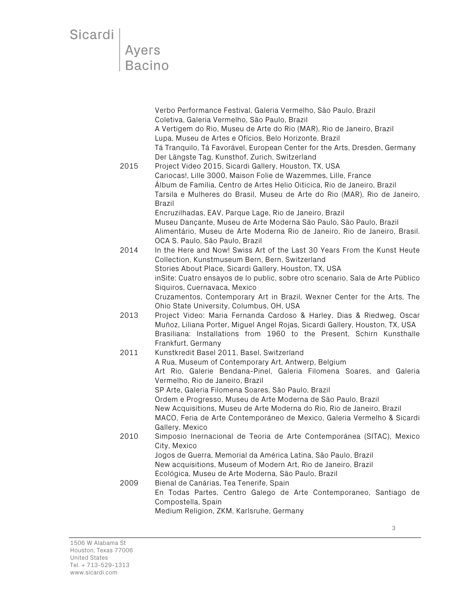Ayers<br>Bacino

Verbo Performance Festival, Galeria Vermelho, São Paulo, Brazil Coletiva, Galeria Vermelho, São Paulo, Brazil A Vertigem do Rio, Museu de Arte do Rio (MAR), Rio de Janeiro, Brazil Lupa, Museu de Artes e Ofícios, Belo Horizonte, Brazil Tá Tranquilo, Tá Favorável, European Center for the Arts, Dresden, Germany Der Längste Tag, Kunsthof, Zurich, Switzerland

2015 Project Video 2015, Sicardi Gallery, Houston, TX, USA Cariocas!, Lille 3000, Maison Folie de Wazemmes, Lille, France Álbum de Família, Centro de Artes Helio Oiticica, Rio de Janeiro, Brazil Tarsila e Mulheres do Brasil, Museu de Arte do Rio (MAR), Rio de Janeiro, Brazil Encruzilhadas, EAV, Parque Lage, Rio de Janeiro, Brazil Museu Dançante, Museu de Arte Moderna São Paulo, São Paulo, Brazil Alimentário, Museu de Arte Moderna Rio de Janeiro, Rio de Janeiro, Brasil. OCA S. Paulo, São Paulo, Brazil 2014 In the Here and Now! Swiss Art of the Last 30 Years From the Kunst Heute Collection, Kunstmuseum Bern, Bern, Switzerland Stories About Place, Sicardi Gallery, Houston, TX, USA inSite: Cuatro ensayos de lo public, sobre otro scenario, Sala de Arte Público Siquiros, Cuernavaca, Mexico Cruzamentos, Contemporary Art in Brazil, Wexner Center for the Arts, The Ohio State University, Columbus, OH, USA 2013 Project Video: Maria Fernanda Cardoso & Harley, Dias & Riedweg, Oscar Muñoz, Liliana Porter, Miguel Angel Rojas, Sicardi Gallery, Houston, TX, USA Brasiliana: Installations from 1960 to the Present, Schirn Kunsthalle Frankfurt, Germany 2011 Kunstkredit Basel 2011, Basel, Switzerland A Rua, Museum of Contemporary Art, Antwerp, Belgium Art Rio, Galerie Bendana-Pinel, Galeria Filomena Soares, and Galeria Vermelho, Rio de Janeiro, Brazil SP Arte, Galeria Filomena Soares, São Paulo, Brazil Ordem e Progresso, Museu de Arte Moderna de São Paulo, Brazil New Acquisitions, Museu de Arte Moderna do Rio, Rio de Janeiro, Brazil MACO, Feria de Arte Contemporáneo de Mexico, Galeria Vermelho & Sicardi Gallery, Mexico 2010 Simposio Inernacional de Teoria de Arte Contemporánea (SITAC), Mexico City, Mexico Jogos de Guerra, Memorial da América Latina, São Paulo, Brazil New acquisitions, Museum of Modern Art, Rio de Janeiro, Brazil Ecológica, Museu de Arte Moderna, São Paulo, Brazil 2009 Bienal de Canárias, Tea Tenerife, Spain En Todas Partes, Centro Galego de Arte Contemporaneo, Santiago de Compostella, Spain

Medium Religion, ZKM, Karlsruhe, Germany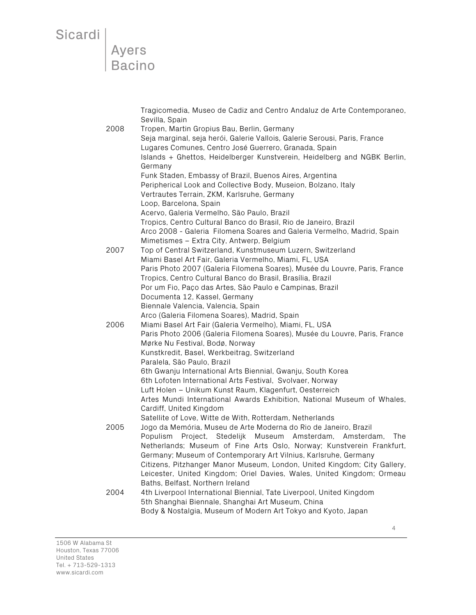# Sicardi<br>Ayers<br>Bacino

|      | Tragicomedia, Museo de Cadiz and Centro Andaluz de Arte Contemporaneo,<br>Sevilla, Spain |
|------|------------------------------------------------------------------------------------------|
| 2008 | Tropen, Martin Gropius Bau, Berlin, Germany                                              |
|      |                                                                                          |
|      | Seja marginal, seja herói, Galerie Vallois, Galerie Serousi, Paris, France               |
|      | Lugares Comunes, Centro José Guerrero, Granada, Spain                                    |
|      | Islands + Ghettos, Heidelberger Kunstverein, Heidelberg and NGBK Berlin,<br>Germany      |
|      | Funk Staden, Embassy of Brazil, Buenos Aires, Argentina                                  |
|      | Peripherical Look and Collective Body, Museion, Bolzano, Italy                           |
|      | Vertrautes Terrain, ZKM, Karlsruhe, Germany                                              |
|      | Loop, Barcelona, Spain                                                                   |
|      | Acervo, Galeria Vermelho, São Paulo, Brazil                                              |
|      | Tropics, Centro Cultural Banco do Brasil, Rio de Janeiro, Brazil                         |
|      | Arco 2008 - Galeria Filomena Soares and Galeria Vermelho, Madrid, Spain                  |
|      | Mimetismes - Extra City, Antwerp, Belgium                                                |
| 2007 | Top of Central Switzerland, Kunstmuseum Luzern, Switzerland                              |
|      | Miami Basel Art Fair, Galeria Vermelho, Miami, FL, USA                                   |
|      | Paris Photo 2007 (Galeria Filomena Soares), Musée du Louvre, Paris, France               |
|      | Tropics, Centro Cultural Banco do Brasil, Brasília, Brazil                               |
|      | Por um Fio, Paço das Artes, São Paulo e Campinas, Brazil                                 |
|      | Documenta 12, Kassel, Germany                                                            |
|      | Biennale Valencia, Valencia, Spain                                                       |
|      | Arco (Galeria Filomena Soares), Madrid, Spain                                            |
| 2006 | Miami Basel Art Fair (Galeria Vermelho), Miami, FL, USA                                  |
|      | Paris Photo 2006 (Galeria Filomena Soares), Musée du Louvre, Paris, France               |
|      | Mørke Nu Festival, Bodø, Norway                                                          |
|      | Kunstkredit, Basel, Werkbeitrag, Switzerland                                             |
|      | Paralela, São Paulo, Brazil                                                              |
|      | 6th Gwanju International Arts Biennial, Gwanju, South Korea                              |
|      | 6th Lofoten International Arts Festival, Svolvaer, Norway                                |
|      | Luft Holen - Unikum Kunst Raum, Klagenfurt, Oesterreich                                  |
|      | Artes Mundi International Awards Exhibition, National Museum of Whales,                  |
|      | Cardiff, United Kingdom                                                                  |
|      | Satellite of Love, Witte de With, Rotterdam, Netherlands                                 |
| 2005 | Jogo da Memória, Museu de Arte Moderna do Rio de Janeiro, Brazil                         |
|      | Stedelijk<br>Museum Amsterdam,<br>Populism<br>Project,<br>Amsterdam.<br>The              |
|      | Netherlands; Museum of Fine Arts Oslo, Norway; Kunstverein Frankfurt,                    |
|      | Germany; Museum of Contemporary Art Vilnius, Karlsruhe, Germany                          |
|      | Citizens, Pitzhanger Manor Museum, London, United Kingdom; City Gallery,                 |
|      | Leicester, United Kingdom; Oriel Davies, Wales, United Kingdom; Ormeau                   |
|      | Baths, Belfast, Northern Ireland                                                         |
| 2004 | 4th Liverpool International Biennial, Tate Liverpool, United Kingdom                     |
|      | 5th Shanghai Biennale, Shanghai Art Museum, China                                        |
|      | Body & Nostalgia, Museum of Modern Art Tokyo and Kyoto, Japan                            |

4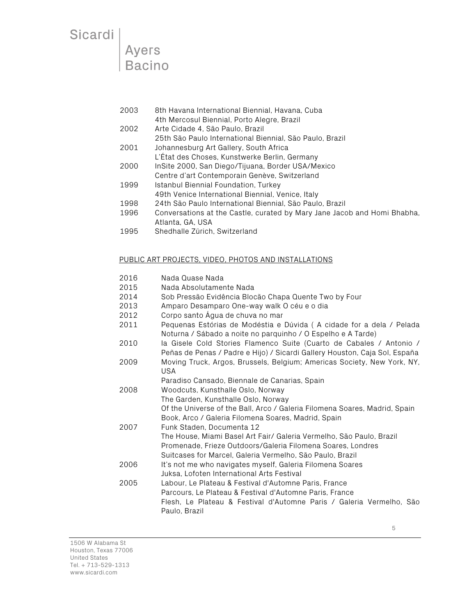Ayers **Bacino** 

- 2003 8th Havana International Biennial, Havana, Cuba 4th Mercosul Biennial, Porto Alegre, Brazil
- 2002 Arte Cidade 4, São Paulo, Brazil
- 25th São Paulo International Biennial, São Paulo, Brazil
- 2001 Johannesburg Art Gallery, South Africa
- L'État des Choses, Kunstwerke Berlin, Germany 2000 InSite 2000, San Diego/Tijuana, Border USA/Mexico
- Centre d'art Contemporain Genève, Switzerland
- 1999 Istanbul Biennial Foundation, Turkey
- 49th Venice International Biennial, Venice, Italy
- 1998 24th São Paulo International Biennial, São Paulo, Brazil
- 1996 Conversations at the Castle, curated by Mary Jane Jacob and Homi Bhabha, Atlanta, GA, USA
- 1995 Shedhalle Zürich, Switzerland

# PUBLIC ART PROJECTS, VIDEO, PHOTOS AND INSTALLATIONS

- 2016 Nada Quase Nada
- 2015 Nada Absolutamente Nada
- 2014 Sob Pressão Evidência Blocão Chapa Quente Two by Four
- 2013 Amparo Desamparo One-way walk O céu e o dia
- 2012 Corpo santo Água de chuva no mar
- 2011 Pequenas Estórias de Modéstia e Dúvida ( A cidade for a dela / Pelada Noturna / Sábado a noite no parquinho / O Espelho e A Tarde)
- 2010 Ia Gisele Cold Stories Flamenco Suite (Cuarto de Cabales / Antonio / Peñas de Penas / Padre e Hijo) / Sicardi Gallery Houston, Caja Sol, España
- 2009 Moving Truck, Argos, Brussels, Belgium; Americas Society, New York, NY, USA
	- Paradiso Cansado, Biennale de Canarias, Spain
- 2008 Woodcuts, Kunsthalle Oslo, Norway The Garden, Kunsthalle Oslo, Norway Of the Universe of the Ball, Arco / Galeria Filomena Soares, Madrid, Spain Book, Arco / Galeria Filomena Soares, Madrid, Spain
- 2007 Funk Staden, Documenta 12 The House, Miami Basel Art Fair/ Galeria Vermelho, São Paulo, Brazil Promenade, Frieze Outdoors/Galeria Filomena Soares, Londres Suitcases for Marcel, Galeria Vermelho, São Paulo, Brazil
- 2006 It's not me who navigates myself, Galeria Filomena Soares
	- Juksa, Lofoten International Arts Festival
- 2005 Labour, Le Plateau & Festival d'Automne Paris, France Parcours, Le Plateau & Festival d'Automne Paris, France Flesh, Le Plateau & Festival d'Automne Paris / Galeria Vermelho, São Paulo, Brazil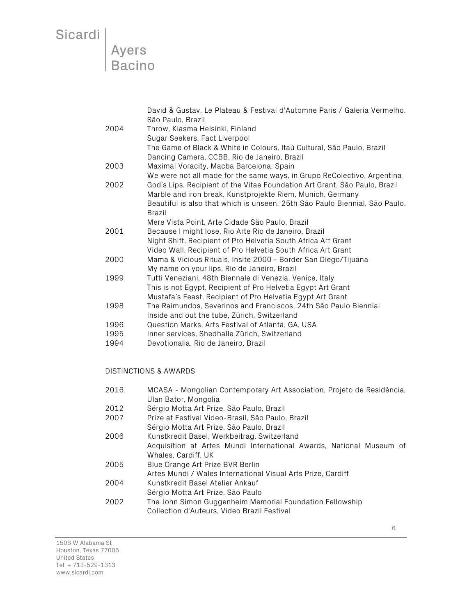# Sicardi<br>Ayers<br>Bacino

|      | David & Gustav, Le Plateau & Festival d'Automne Paris / Galeria Vermelho,<br>São Paulo, Brazil |
|------|------------------------------------------------------------------------------------------------|
| 2004 | Throw, Kiasma Helsinki, Finland                                                                |
|      | Sugar Seekers, Fact Liverpool                                                                  |
|      | The Game of Black & White in Colours, Itaú Cultural, São Paulo, Brazil                         |
|      | Dancing Camera, CCBB, Rio de Janeiro, Brazil                                                   |
| 2003 | Maximal Voracity, Macba Barcelona, Spain                                                       |
|      | We were not all made for the same ways, in Grupo ReColectivo, Argentina                        |
| 2002 | God's Lips, Recipient of the Vitae Foundation Art Grant, São Paulo, Brazil                     |
|      | Marble and iron break, Kunstprojekte Riem, Munich, Germany                                     |
|      | Beautiful is also that which is unseen, 25th São Paulo Biennial, São Paulo,                    |
|      | Brazil                                                                                         |
|      | Mere Vista Point. Arte Cidade São Paulo. Brazil                                                |
| 2001 | Because I might lose, Rio Arte Rio de Janeiro, Brazil                                          |
|      | Night Shift, Recipient of Pro Helvetia South Africa Art Grant                                  |
|      | Video Wall, Recipient of Pro Helvetia South Africa Art Grant                                   |
| 2000 | Mama & Vicious Rituals, Insite 2000 - Border San Diego/Tijuana                                 |
|      | My name on your lips, Rio de Janeiro, Brazil                                                   |
| 1999 | Tutti Veneziani, 48th Biennale di Venezia, Venice, Italy                                       |
|      | This is not Egypt, Recipient of Pro Helvetia Egypt Art Grant                                   |
|      | Mustafa's Feast, Recipient of Pro Helvetia Egypt Art Grant                                     |
| 1998 | The Raimundos, Severinos and Franciscos, 24th São Paulo Biennial                               |
|      | Inside and out the tube, Zürich, Switzerland                                                   |
| 1996 | Question Marks, Arts Festival of Atlanta, GA, USA                                              |
| 1995 | Inner services, Shedhalle Zürich, Switzerland                                                  |
| 1994 | Devotionalia, Rio de Janeiro, Brazil                                                           |

# DISTINCTIONS & AWARDS

| 2016 | MCASA - Mongolian Contemporary Art Association, Projeto de Residência,<br>Ulan Bator, Mongolia |
|------|------------------------------------------------------------------------------------------------|
| 2012 | Sérgio Motta Art Prize, São Paulo, Brazil                                                      |
| 2007 | Prize at Festival Video-Brasil, São Paulo, Brazil                                              |
|      | Sérgio Motta Art Prize, São Paulo, Brazil                                                      |
| 2006 | Kunstkredit Basel, Werkbeitrag, Switzerland                                                    |
|      | Acquisition at Artes Mundi International Awards, National Museum of                            |
|      | Whales. Cardiff. UK                                                                            |
| 2005 | Blue Orange Art Prize BVR Berlin                                                               |
|      | Artes Mundi / Wales International Visual Arts Prize, Cardiff                                   |
| 2004 | Kunstkredit Basel Atelier Ankauf                                                               |
|      | Sérgio Motta Art Prize, São Paulo                                                              |
| 2002 | The John Simon Guggenheim Memorial Foundation Fellowship                                       |
|      | Collection d'Auteurs, Video Brazil Festival                                                    |